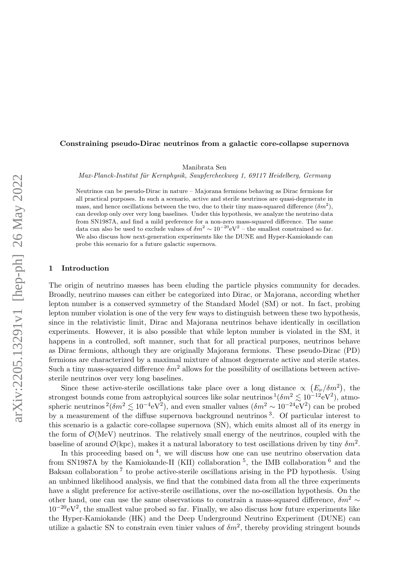#### Constraining pseudo-Dirac neutrinos from a galactic core-collapse supernova

Manibrata Sen

Max-Planck-Institut für Kernphysik, Saupfercheckweg 1, 69117 Heidelberg, Germany

Neutrinos can be pseudo-Dirac in nature – Majorana fermions behaving as Dirac fermions for all practical purposes. In such a scenario, active and sterile neutrinos are quasi-degenerate in mass, and hence oscillations between the two, due to their tiny mass-squared difference  $(\delta m^2)$ , can develop only over very long baselines. Under this hypothesis, we analyze the neutrino data from SN1987A, and find a mild preference for a non-zero mass-squared difference. The same data can also be used to exclude values of  $\delta m^2 \sim 10^{-20} \text{eV}^2$  – the smallest constrained so far. We also discuss how next-generation experiments like the DUNE and Hyper-Kamiokande can probe this scenario for a future galactic supernova.

## 1 Introduction

The origin of neutrino masses has been eluding the particle physics community for decades. Broadly, neutrino masses can either be categorized into Dirac, or Majorana, according whether lepton number is a conserved symmetry of the Standard Model (SM) or not. In fact, probing lepton number violation is one of the very few ways to distinguish between these two hypothesis, since in the relativistic limit, Dirac and Majorana neutrinos behave identically in oscillation experiments. However, it is also possible that while lepton number is violated in the SM, it happens in a controlled, soft manner, such that for all practical purposes, neutrinos behave as Dirac fermions, although they are originally Majorana fermions. These pseudo-Dirac (PD) fermions are characterized by a maximal mixture of almost degenerate active and sterile states. Such a tiny mass-squared difference  $\delta m^2$  allows for the possibility of oscillations between activesterile neutrinos over very long baselines.

Since these active-sterile oscillations take place over a long distance  $\propto (E_{\nu}/\delta m^2)$ , the strongest bounds come from astrophyical sources like solar neutrinos  $\frac{1}{\delta m^2} \leq 10^{-12}$  $\frac{1}{\delta m^2} \leq 10^{-12}$  $\frac{1}{\delta m^2} \leq 10^{-12}$ eV<sup>2</sup>), atmospheric neutrinos  $^{2}$  $^{2}$  $^{2}$ ( $\delta m^{2} \lesssim 10^{-4}$ eV<sup>2</sup>), and even smaller values ( $\delta m^{2} \sim 10^{-24}$ eV<sup>2</sup>) can be probed by a measurement of the diffuse supernova background neutrinos<sup>[3](#page-3-2)</sup>. Of particular interest to this scenario is a galactic core-collapse supernova (SN), which emits almost all of its energy in the form of  $\mathcal{O}(\text{MeV})$  neutrinos. The relatively small energy of the neutrinos, coupled with the baseline of around  $\mathcal{O}(\text{kpc})$ , makes it a natural laboratory to test oscillations driven by tiny  $\delta m^2$ .

In this proceeding based on  $4$ , we will discuss how one can use neutrino observation data from SN1987A by the Kamiokande-II (KII) collaboration<sup>[5](#page-3-4)</sup>, the IMB collaboration<sup>[6](#page-3-5)</sup> and the Baksan collaboration<sup>[7](#page-3-6)</sup> to probe active-sterile oscillations arising in the PD hypothesis. Using an unbinned likelihood analysis, we find that the combined data from all the three experiments have a slight preference for active-sterile oscillations, over the no-oscillation hypothesis. On the other hand, one can use the same observations to constrain a mass-squared difference,  $\delta m^2 \sim$  $10^{-20}$ eV<sup>2</sup>, the smallest value probed so far. Finally, we also discuss how future experiments like the Hyper-Kamiokande (HK) and the Deep Underground Neutrino Experiment (DUNE) can utilize a galactic SN to constrain even tinier values of  $\delta m^2$ , thereby providing stringent bounds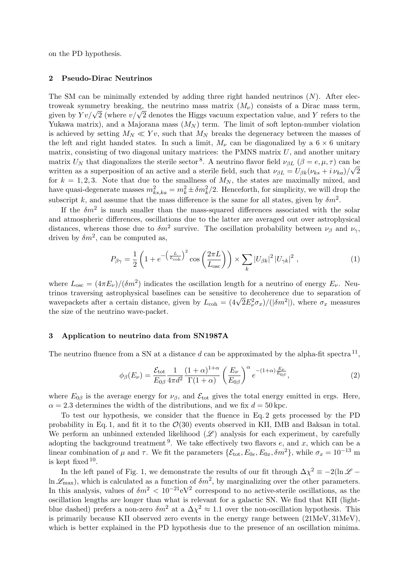on the PD hypothesis.

### 2 Pseudo-Dirac Neutrinos

The SM can be minimally extended by adding three right handed neutrinos  $(N)$ . After electroweak symmetry breaking, the neutrino mass matrix  $(M_{\nu})$  consists of a Dirac mass term, troweak symmetry breaking, the neutrino mass matrix  $(M_{\nu})$  consists of a Dirac mass term,<br>given by  $Yv/\sqrt{2}$  (where  $v/\sqrt{2}$  denotes the Higgs vacuum expectation value, and Y refers to the Yukawa matrix), and a Majorana mass  $(M_N)$  term. The limit of soft lepton-number violation is achieved by setting  $M_N \ll Yv$ , such that  $M_N$  breaks the degeneracy between the masses of the left and right handed states. In such a limit,  $M_{\nu}$  can be diagonalized by a 6  $\times$  6 unitary matrix, consisting of two diagonal unitary matrices: the PMNS matrix  $U$ , and another unitary matrix  $U_N$  that diagonalizes the sterile sector<sup>[8](#page-3-7)</sup>. A neutrino flavor field  $\nu_{\beta L}$  ( $\beta = e, \mu, \tau$ ) can be written as a superposition of an active and a sterile field, such that  $\nu_{\beta L} = U_{\beta k} (\nu_{ks} + i \nu_{ka})/\sqrt{2}$ for  $k = 1, 2, 3$ . Note that due to the smallness of  $M_N$ , the states are maximally mixed, and have quasi-degenerate masses  $m_{ks,ka}^2 = m_k^2 \pm \delta m_k^2/2$ . Henceforth, for simplicity, we will drop the subscript k, and assume that the mass difference is the same for all states, given by  $\delta m^2$ .

If the  $\delta m^2$  is much smaller than the mass-squared differences associated with the solar and atmospheric differences, oscillations due to the latter are averaged out over astrophysical distances, whereas those due to  $\delta m^2$  survive. The oscillation probability between  $\nu_\beta$  and  $\nu_\gamma$ , driven by  $\delta m^2$ , can be computed as,

<span id="page-1-1"></span>
$$
P_{\beta\gamma} = \frac{1}{2} \left( 1 + e^{-\left(\frac{L}{L_{\text{coh}}}\right)^2} \cos\left(\frac{2\pi L}{L_{\text{osc}}}\right) \right) \times \sum_{k} |U_{\beta k}|^2 |U_{\gamma k}|^2 , \qquad (1)
$$

where  $L_{\rm osc} = (4\pi E_\nu)/(\delta m^2)$  indicates the oscillation length for a neutrino of energy  $E_\nu$ . Neutrinos traversing astrophysical baselines can be sensitive to decoherence due to separation of trinos traversing astrophysical baselines can be sensitive to deconerence due to separation of wavepackets after a certain distance, given by  $L_{\text{coh}} = (4\sqrt{2}E_{\nu}^2\sigma_x)/(|\delta m^2|)$ , where  $\sigma_x$  measures the size of the neutrino wave-packet.

### 3 Application to neutrino data from SN1987A

The neutrino fluence from a SN at a distance d can be approximated by the alpha-fit spectra  $^{11}$  $^{11}$  $^{11}$ ,

<span id="page-1-0"></span>
$$
\phi_{\beta}(E_{\nu}) = \frac{\mathcal{E}_{\text{tot}}}{E_{0\beta}} \frac{1}{4\pi d^2} \frac{(1+\alpha)^{1+\alpha}}{\Gamma(1+\alpha)} \left(\frac{E_{\nu}}{E_{0\beta}}\right)^{\alpha} e^{-(1+\alpha)\frac{E_{\nu}}{E_{0\beta}}},\tag{2}
$$

where  $E_{0\beta}$  is the average energy for  $\nu_{\beta}$ , and  $\mathcal{E}_{\text{tot}}$  gives the total energy emitted in ergs. Here,  $\alpha = 2.3$  determines the width of the distributions, and we fix  $d = 50$  kpc.

To test our hypothesis, we consider that the fluence in Eq. [2](#page-1-0) gets processed by the PD probability in Eq. [1,](#page-1-1) and fit it to the  $\mathcal{O}(30)$  events observed in KII, IMB and Baksan in total. We perform an unbinned extended likelihood  $(\mathscr{L})$  analysis for each experiment, by carefully adopting the background treatment<sup>[9](#page-3-9)</sup>. We take effectively two flavors  $e$ , and  $x$ , which can be a linear combination of  $\mu$  and  $\tau$ . We fit the parameters  $\{\mathcal{E}_{\text{tot}}, E_{0e}, E_{0x}, \delta m^2\}$ , while  $\sigma_x = 10^{-13}$  m is kept fixed  $10$ .

In the left panel of Fig. [1,](#page-1-0) we demonstrate the results of our fit through  $\Delta \chi^2 \equiv -2(\ln \mathscr{L} \ln \mathcal{L}_{\text{max}}$ , which is calculated as a function of  $\delta m^2$ , by marginalizing over the other parameters. In this analysis, values of  $\delta m^2 < 10^{-21}$ eV<sup>2</sup> correspond to no active-sterile oscillations, as the oscillation lengths are longer than what is relevant for a galactic SN. We find that KII (lightblue dashed) prefers a non-zero  $\delta m^2$  at a  $\Delta \chi^2 \approx 1.1$  over the non-oscillation hypothesis. This is primarily because KII observed zero events in the energy range between (21MeV, 31MeV), which is better explained in the PD hypothesis due to the presence of an oscillation minima.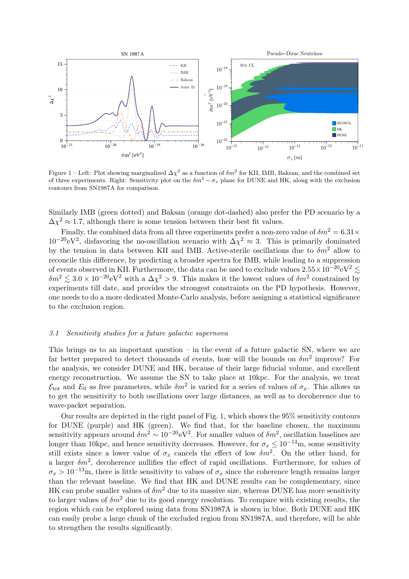

Figure 1 – Left: Plot showing marginalized  $\Delta \chi^2$  as a function of  $\delta m^2$  for KII, IMB, Baksan, and the combined set of three experiments. Right: Sensitivity plot on the  $\delta m^2 - \sigma_x$  plane for DUNE and HK, along with the exclusion contours from SN1987A for comparison.

Similarly IMB (green dotted) and Baksan (orange dot-dashed) also prefer the PD scenario by a  $\Delta \chi^2 \approx 1.7$ , although there is some tension between their best fit values.

Finally, the combined data from all three experiments prefer a non-zero value of  $\delta m^2 = 6.31 \times$  $10^{-20}$ eV<sup>2</sup>, disfavoring the no-oscillation scenario with  $\Delta \chi^2 \approx 3$ . This is primarily dominated by the tension in data between KII and IMB. Active-sterile oscillations due to  $\delta m^2$  allow to reconcile this difference, by predicting a broader spectra for IMB, while leading to a suppression of events observed in KII. Furthermore, the data can be used to exclude values  $2.55\times10^{-20}$ eV $^2$  $\delta m^2 \lesssim 3.0 \times 10^{-20} \text{eV}^2$  with a  $\Delta \chi^2 > 9$ . This makes it the lowest values of  $\delta m^2$  constrained by experiments till date, and provides the strongest constraints on the PD hypothesis. However, one needs to do a more dedicated Monte-Carlo analysis, before assigning a statistical significance to the exclusion region.

#### 3.1 Sensitivity studies for a future galactic supernova

This brings us to an important question – in the event of a future galactic SN, where we are far better prepared to detect thousands of events, how will the bounds on  $\delta m^2$  improve? For the analysis, we consider DUNE and HK, because of their large fiducial volume, and excellent energy reconstruction. We assume the SN to take place at 10kpc. For the analysis, we treat  $\mathcal{E}_{\text{tot}}$  and  $E_0$  as free parameters, while  $\delta m^2$  is varied for a series of values of  $\sigma_x$ . This allows us to get the sensitivity to both oscillations over large distances, as well as to decoherence due to wave-packet separation.

Our results are depicted in the right panel of Fig. [1,](#page-1-0) which shows the 95% sensitivity contours for DUNE (purple) and HK (green). We find that, for the baseline chosen, the maximum sensitivity appears around  $\delta m^2 \sim 10^{-20} \text{eV}^2$ . For smaller values of  $\delta m^2$ , oscillation baselines are longer than 10kpc, and hence sensitivity decreases. However, for  $\sigma_x \leq 10^{-14}$ m, some sensitivity still exists since a lower value of  $\sigma_x$  cancels the effect of low  $\delta m^2$ . On the other hand, for a larger  $\delta m^2$ , decoherence nullifies the effect of rapid oscillations. Furthermore, for values of  $\sigma_x > 10^{-13}$ m, there is little sensitivity to values of  $\sigma_x$  since the coherence length remains larger than the relevant baseline. We find that HK and DUNE results can be complementary, since HK can probe smaller values of  $\delta m^2$  due to its massive size, whereas DUNE has more sensitivity to larger values of  $\delta m^2$  due to its good energy resolution. To compare with existing results, the region which can be explored using data from SN1987A is shown in blue. Both DUNE and HK can easily probe a large chunk of the excluded region from SN1987A, and therefore, will be able to strengthen the results significantly.